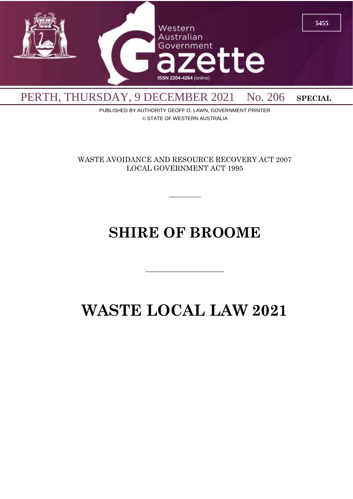

PUBLISHED BY AUTHORITY GEOFF O. LAWN, GOVERNMENT PRINTER © STATE OF WESTERN AUSTRALIA

WASTE AVOIDANCE AND RESOURCE RECOVERY ACT 2007 LOCAL GOVERNMENT ACT 1995

 $\overline{\phantom{a}}$ 

# **SHIRE OF BROOME**

 $\overline{\phantom{a}}$  , and the contract of the contract of the contract of the contract of the contract of the contract of the contract of the contract of the contract of the contract of the contract of the contract of the contrac

# **WASTE LOCAL LAW 2021**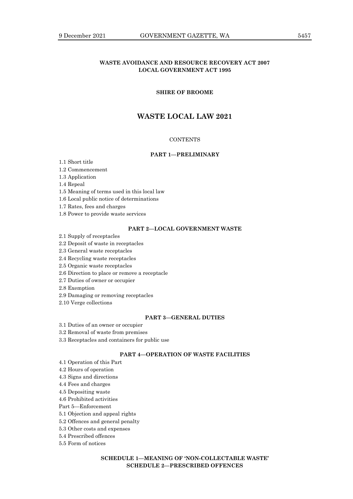# **WASTE AVOIDANCE AND RESOURCE RECOVERY ACT 2007 LOCAL GOVERNMENT ACT 1995**

# **SHIRE OF BROOME**

# **WASTE LOCAL LAW 2021**

# **CONTENTS**

# **PART 1—PRELIMINARY**

1.1 Short title

- 1.2 Commencement
- 1.3 Application

1.4 Repeal

1.5 Meaning of terms used in this local law

1.6 Local public notice of determinations

1.7 Rates, fees and charges

1.8 Power to provide waste services

# **PART 2—LOCAL GOVERNMENT WASTE**

2.1 Supply of receptacles

# 2.2 Deposit of waste in receptacles

2.3 General waste receptacles

2.4 Recycling waste receptacles

2.5 Organic waste receptacles

2.6 Direction to place or remove a receptacle

2.7 Duties of owner or occupier

2.8 Exemption

2.9 Damaging or removing receptacles

2.10 Verge collections

#### **PART 3—GENERAL DUTIES**

3.1 Duties of an owner or occupier

3.2 Removal of waste from premises

3.3 Receptacles and containers for public use

# **PART 4—OPERATION OF WASTE FACILITIES**

- 4.1 Operation of this Part
- 4.2 Hours of operation
- 4.3 Signs and directions

4.4 Fees and charges

4.5 Depositing waste

4.6 Prohibited activities

Part 5—Enforcement

5.1 Objection and appeal rights

5.2 Offences and general penalty

5.3 Other costs and expenses

5.4 Prescribed offences

5.5 Form of notices

# **SCHEDULE 1—MEANING OF 'NON-COLLECTABLE WASTE' SCHEDULE 2—PRESCRIBED OFFENCES**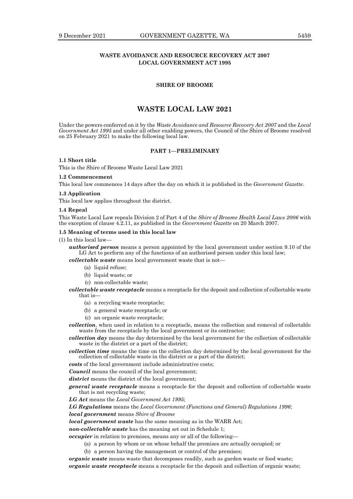# **WASTE AVOIDANCE AND RESOURCE RECOVERY ACT 2007 LOCAL GOVERNMENT ACT 1995**

## **SHIRE OF BROOME**

# **WASTE LOCAL LAW 2021**

Under the powers conferred on it by the *Waste Avoidance and Resource Recovery Act 2007* and the *Local Government Act 1995* and under all other enabling powers, the Council of the Shire of Broome resolved on 25 February 2021 to make the following local law.

#### **PART 1—PRELIMINARY**

# **1.1 Short title**

This is the Shire of Broome Waste Local Law 2021

## **1.2 Commencement**

This local law commences 14 days after the day on which it is published in the *Government Gazette*.

#### **1.3 Application**

This local law applies throughout the district.

#### **1.4 Repeal**

This Waste Local Law repeals Division 2 of Part 4 of the *Shire of Broome Health Local Laws 2006* with the exception of clause 4.2.11, as published in the *Government Gazette* on 20 March 2007.

#### **1.5 Meaning of terms used in this local law**

(1) In this local law—

*authorised person* means a person appointed by the local government under section 9.10 of the LG Act to perform any of the functions of an authorised person under this local law;

*collectable waste* means local government waste that is not—

- (a) liquid refuse;
- (b) liquid waste; or
- (c) non-collectable waste;

*collectable waste receptacle* means a receptacle for the deposit and collection of collectable waste that is—

- (a) a recycling waste receptacle;
- (b) a general waste receptacle; or
- (c) an organic waste receptacle;

*collection*, when used in relation to a receptacle, means the collection and removal of collectable waste from the receptacle by the local government or its contractor;

*collection day* means the day determined by the local government for the collection of collectable waste in the district or a part of the district;

*collection time* means the time on the collection day determined by the local government for the collection of collectable waste in the district or a part of the district;

*costs* of the local government include administrative costs;

*Council* means the council of the local government;

*district* means the district of the local government;

*general waste receptacle* means a receptacle for the deposit and collection of collectable waste that is not recycling waste;

*LG Act* means the *Local Government Act 1995*;

*LG Regulations* means the *Local Government (Functions and General) Regulations 1996*;

*local government* means *Shire of Broome*

*local government waste* has the same meaning as in the WARR Act;

*non-collectable waste* has the meaning set out in Schedule 1;

*occupier* in relation to premises, means any or all of the following—

- (a) a person by whom or on whose behalf the premises are actually occupied; or
- (b) a person having the management or control of the premises;

*organic waste* means waste that decomposes readily, such as garden waste or food waste; *organic waste receptacle* means a receptacle for the deposit and collection of organic waste;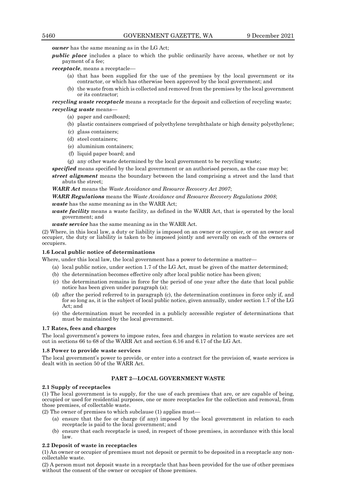*owner* has the same meaning as in the LG Act;

*public place* includes a place to which the public ordinarily have access, whether or not by payment of a fee;

*receptacle*, means a receptacle—

- (a) that has been supplied for the use of the premises by the local government or its contractor, or which has otherwise been approved by the local government; and
- (b) the waste from which is collected and removed from the premises by the local government or its contractor;

*recycling waste receptacle* means a receptacle for the deposit and collection of recycling waste; *recycling waste* means—

- (a) paper and cardboard;
- (b) plastic containers comprised of polyethylene terephthalate or high density polyethylene;
- (c) glass containers;
- (d) steel containers;
- (e) aluminium containers;
- (f) liquid paper board; and
- (g) any other waste determined by the local government to be recycling waste;

*specified* means specified by the local government or an authorised person, as the case may be;

*street alignment* means the boundary between the land comprising a street and the land that abuts the street;

*WARR Act* means the *Waste Avoidance and Resource Recovery Act 2007*;

*WARR Regulations* means the *Waste Avoidance and Resource Recovery Regulations 2008*;

*waste* has the same meaning as in the WARR Act;

*waste facility* means a waste facility, as defined in the WARR Act, that is operated by the local government; and

*waste service* has the same meaning as in the WARR Act.

(2) Where, in this local law, a duty or liability is imposed on an owner or occupier, or on an owner and occupier, the duty or liability is taken to be imposed jointly and severally on each of the owners or occupiers.

## **1.6 Local public notice of determinations**

Where, under this local law, the local government has a power to determine a matter—

- (a) local public notice, under section 1.7 of the LG Act, must be given of the matter determined;
- (b) the determination becomes effective only after local public notice has been given;
- (c) the determination remains in force for the period of one year after the date that local public notice has been given under paragraph (a);
- (d) after the period referred to in paragraph (c), the determination continues in force only if, and for so long as, it is the subject of local public notice, given annually, under section 1.7 of the LG Act; and
- (e) the determination must be recorded in a publicly accessible register of determinations that must be maintained by the local government.

### **1.7 Rates, fees and charges**

The local government's powers to impose rates, fees and charges in relation to waste services are set out in sections 66 to 68 of the WARR Act and section 6.16 and 6.17 of the LG Act.

#### **1.8 Power to provide waste services**

The local government's power to provide, or enter into a contract for the provision of, waste services is dealt with in section 50 of the WARR Act.

# **PART 2—LOCAL GOVERNMENT WASTE**

#### **2.1 Supply of receptacles**

(1) The local government is to supply, for the use of each premises that are, or are capable of being, occupied or used for residential purposes, one or more receptacles for the collection and removal, from those premises, of collectable waste.

- (2) The owner of premises to which subclause (1) applies must—
	- (a) ensure that the fee or charge (if any) imposed by the local government in relation to each receptacle is paid to the local government; and
	- (b) ensure that each receptacle is used, in respect of those premises, in accordance with this local law.

#### **2.2 Deposit of waste in receptacles**

(1) An owner or occupier of premises must not deposit or permit to be deposited in a receptacle any noncollectable waste.

(2) A person must not deposit waste in a receptacle that has been provided for the use of other premises without the consent of the owner or occupier of those premises.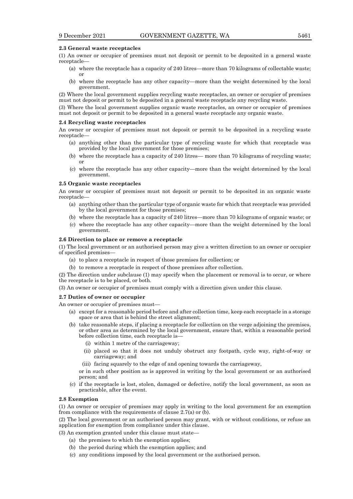#### **2.3 General waste receptacles**

(1) An owner or occupier of premises must not deposit or permit to be deposited in a general waste receptacle—

- (a) where the receptacle has a capacity of 240 litres—more than 70 kilograms of collectable waste; or
- (b) where the receptacle has any other capacity—more than the weight determined by the local government.

(2) Where the local government supplies recycling waste receptacles, an owner or occupier of premises must not deposit or permit to be deposited in a general waste receptacle any recycling waste.

(3) Where the local government supplies organic waste receptacles, an owner or occupier of premises must not deposit or permit to be deposited in a general waste receptacle any organic waste.

#### **2.4 Recycling waste receptacles**

An owner or occupier of premises must not deposit or permit to be deposited in a recycling waste receptacle—

- (a) anything other than the particular type of recycling waste for which that receptacle was provided by the local government for those premises;
- (b) where the receptacle has a capacity of 240 litres— more than 70 kilograms of recycling waste; or
- (c) where the receptacle has any other capacity—more than the weight determined by the local government.

#### **2.5 Organic waste receptacles**

An owner or occupier of premises must not deposit or permit to be deposited in an organic waste receptacle—

- (a) anything other than the particular type of organic waste for which that receptacle was provided by the local government for those premises;
- (b) where the receptacle has a capacity of 240 litres—more than 70 kilograms of organic waste; or
- (c) where the receptacle has any other capacity—more than the weight determined by the local government.

#### **2.6 Direction to place or remove a receptacle**

(1) The local government or an authorised person may give a written direction to an owner or occupier of specified premises—

- (a) to place a receptacle in respect of those premises for collection; or
- (b) to remove a receptacle in respect of those premises after collection.

(2) The direction under subclause (1) may specify when the placement or removal is to occur, or where the receptacle is to be placed, or both.

(3) An owner or occupier of premises must comply with a direction given under this clause.

#### **2.7 Duties of owner or occupier**

An owner or occupier of premises must—

- (a) except for a reasonable period before and after collection time, keep each receptacle in a storage space or area that is behind the street alignment;
- (b) take reasonable steps, if placing a receptacle for collection on the verge adjoining the premises, or other area as determined by the local government, ensure that, within a reasonable period before collection time, each receptacle is—
	- (i) within 1 metre of the carriageway;
	- (ii) placed so that it does not unduly obstruct any footpath, cycle way, right-of-way or carriageway; and
	- (iii) facing squarely to the edge of and opening towards the carriageway,
	- or in such other position as is approved in writing by the local government or an authorised person; and
- (c) if the receptacle is lost, stolen, damaged or defective, notify the local government, as soon as practicable, after the event.

## **2.8 Exemption**

(1) An owner or occupier of premises may apply in writing to the local government for an exemption from compliance with the requirements of clause 2.7(a) or (b).

(2) The local government or an authorised person may grant, with or without conditions, or refuse an application for exemption from compliance under this clause.

(3) An exemption granted under this clause must state—

- (a) the premises to which the exemption applies;
- (b) the period during which the exemption applies; and
- (c) any conditions imposed by the local government or the authorised person.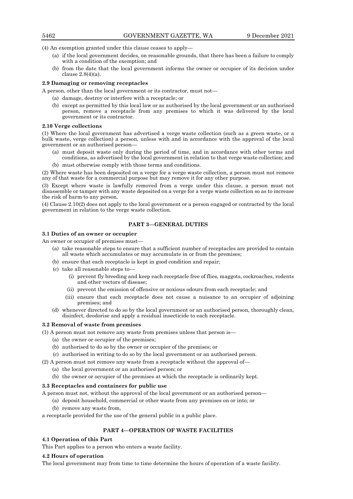(4) An exemption granted under this clause ceases to apply—

- (a) if the local government decides, on reasonable grounds, that there has been a failure to comply with a condition of the exemption; and
- (b) from the date that the local government informs the owner or occupier of its decision under clause 2.8(4)(a).

## **2.9 Damaging or removing receptacles**

A person, other than the local government or its contractor, must not—

- (a) damage, destroy or interfere with a receptacle; or
- (b) except as permitted by this local law or as authorised by the local government or an authorised person, remove a receptacle from any premises to which it was delivered by the local government or its contractor.

# **2.10 Verge collections**

(1) Where the local government has advertised a verge waste collection (such as a green waste, or a bulk waste, verge collection) a person, unless with and in accordance with the approval of the local government or an authorised person—

- (a) must deposit waste only during the period of time, and in accordance with other terms and conditions, as advertised by the local government in relation to that verge waste collection; and
- (b) must otherwise comply with those terms and conditions.

(2) Where waste has been deposited on a verge for a verge waste collection, a person must not remove any of that waste for a commercial purpose but may remove it for any other purpose.

(3) Except where waste is lawfully removed from a verge under this clause, a person must not disassemble or tamper with any waste deposited on a verge for a verge waste collection so as to increase the risk of harm to any person.

(4) Clause 2.10(2) does not apply to the local government or a person engaged or contracted by the local government in relation to the verge waste collection.

# **PART 3—GENERAL DUTIES**

## **3.1 Duties of an owner or occupier**

An owner or occupier of premises must—

- (a) take reasonable steps to ensure that a sufficient number of receptacles are provided to contain all waste which accumulates or may accumulate in or from the premises;
- (b) ensure that each receptacle is kept in good condition and repair;
- (c) take all reasonable steps to—
	- (i) prevent fly breeding and keep each receptacle free of flies, maggots, cockroaches, rodents and other vectors of disease;
	- (ii) prevent the emission of offensive or noxious odours from each receptacle; and
	- (iii) ensure that each receptacle does not cause a nuisance to an occupier of adjoining premises; and
- (d) whenever directed to do so by the local government or an authorised person, thoroughly clean, disinfect, deodorise and apply a residual insecticide to each receptacle.

# **3.2 Removal of waste from premises**

- (1) A person must not remove any waste from premises unless that person is—
	- (a) the owner or occupier of the premises;
	- (b) authorised to do so by the owner or occupier of the premises; or
	- (c) authorised in writing to do so by the local government or an authorised person.
- (2) A person must not remove any waste from a receptacle without the approval of—
	- (a) the local government or an authorised person; or
	- (b) the owner or occupier of the premises at which the receptacle is ordinarily kept.

# **3.3 Receptacles and containers for public use**

- A person must not, without the approval of the local government or an authorised person—
	- (a) deposit household, commercial or other waste from any premises on or into; or (b) remove any waste from,

a receptacle provided for the use of the general public in a public place.

# **PART 4—OPERATION OF WASTE FACILITIES**

# **4.1 Operation of this Part**

This Part applies to a person who enters a waste facility.

## **4.2 Hours of operation**

The local government may from time to time determine the hours of operation of a waste facility.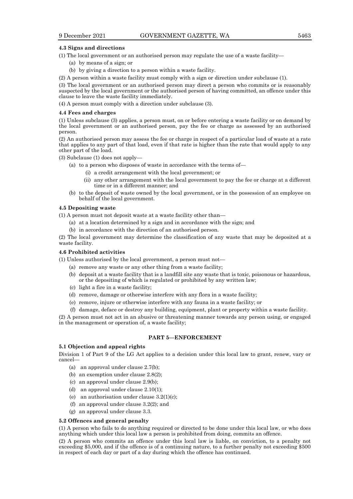## **4.3 Signs and directions**

(1) The local government or an authorised person may regulate the use of a waste facility—

- (a) by means of a sign; or
- (b) by giving a direction to a person within a waste facility.

(2) A person within a waste facility must comply with a sign or direction under subclause (1).

(3) The local government or an authorised person may direct a person who commits or is reasonably suspected by the local government or the authorised person of having committed, an offence under this clause to leave the waste facility immediately.

(4) A person must comply with a direction under subclause (3).

## **4.4 Fees and charges**

(1) Unless subclause (3) applies, a person must, on or before entering a waste facility or on demand by the local government or an authorised person, pay the fee or charge as assessed by an authorised person.

(2) An authorised person may assess the fee or charge in respect of a particular load of waste at a rate that applies to any part of that load, even if that rate is higher than the rate that would apply to any other part of the load.

(3) Subclause (1) does not apply—

- (a) to a person who disposes of waste in accordance with the terms of—
	- (i) a credit arrangement with the local government; or
	- (ii) any other arrangement with the local government to pay the fee or charge at a different time or in a different manner; and
- (b) to the deposit of waste owned by the local government, or in the possession of an employee on behalf of the local government.

## **4.5 Depositing waste**

(1) A person must not deposit waste at a waste facility other than—

- (a) at a location determined by a sign and in accordance with the sign; and
- (b) in accordance with the direction of an authorised person.

(2) The local government may determine the classification of any waste that may be deposited at a waste facility.

### **4.6 Prohibited activities**

(1) Unless authorised by the local government, a person must not—

- (a) remove any waste or any other thing from a waste facility;
- (b) deposit at a waste facility that is a landfill site any waste that is toxic, poisonous or hazardous, or the depositing of which is regulated or prohibited by any written law;
- (c) light a fire in a waste facility;
- (d) remove, damage or otherwise interfere with any flora in a waste facility;
- (e) remove, injure or otherwise interfere with any fauna in a waste facility; or
- (f) damage, deface or destroy any building, equipment, plant or property within a waste facility.

(2) A person must not act in an abusive or threatening manner towards any person using, or engaged in the management or operation of, a waste facility;

## **PART 5—ENFORCEMENT**

# **5.1 Objection and appeal rights**

Division 1 of Part 9 of the LG Act applies to a decision under this local law to grant, renew, vary or cancel—

- (a) an approval under clause 2.7(b);
- (b) an exemption under clause 2.8(2);
- (c) an approval under clause 2.9(b);
- (d) an approval under clause 2.10(1);
- (e) an authorisation under clause  $3.2(1)(c)$ ;
- (f) an approval under clause 3.2(2); and
- (g) an approval under clause 3.3.

#### **5.2 Offences and general penalty**

(1) A person who fails to do anything required or directed to be done under this local law, or who does anything which under this local law a person is prohibited from doing, commits an offence.

(2) A person who commits an offence under this local law is liable, on conviction, to a penalty not exceeding \$5,000, and if the offence is of a continuing nature, to a further penalty not exceeding \$500 in respect of each day or part of a day during which the offence has continued.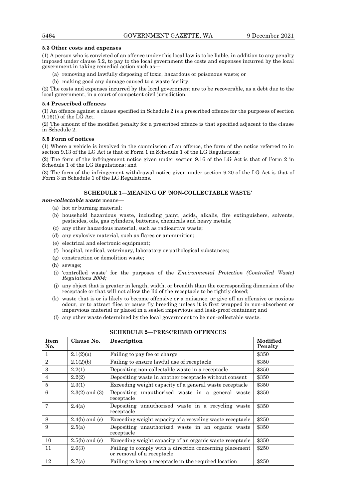## **5.3 Other costs and expenses**

(1) A person who is convicted of an offence under this local law is to be liable, in addition to any penalty imposed under clause 5.2, to pay to the local government the costs and expenses incurred by the local government in taking remedial action such as—

- (a) removing and lawfully disposing of toxic, hazardous or poisonous waste; or
- (b) making good any damage caused to a waste facility.

(2) The costs and expenses incurred by the local government are to be recoverable, as a debt due to the local government, in a court of competent civil jurisdiction.

## **5.4 Prescribed offences**

(1) An offence against a clause specified in Schedule 2 is a prescribed offence for the purposes of section 9.16(1) of the LG Act.

(2) The amount of the modified penalty for a prescribed offence is that specified adjacent to the clause in Schedule 2.

## **5.5 Form of notices**

(1) Where a vehicle is involved in the commission of an offence, the form of the notice referred to in section 9.13 of the LG Act is that of Form 1 in Schedule 1 of the LG Regulations;

(2) The form of the infringement notice given under section 9.16 of the LG Act is that of Form 2 in Schedule 1 of the LG Regulations; and

(3) The form of the infringement withdrawal notice given under section 9.20 of the LG Act is that of Form 3 in Schedule 1 of the LG Regulations.

# **SCHEDULE 1—MEANING OF 'NON-COLLECTABLE WASTE'**

# *non-collectable waste* means—

- (a) hot or burning material;
- (b) household hazardous waste, including paint, acids, alkalis, fire extinguishers, solvents, pesticides, oils, gas cylinders, batteries, chemicals and heavy metals;
- (c) any other hazardous material, such as radioactive waste;
- (d) any explosive material, such as flares or ammunition;
- (e) electrical and electronic equipment;
- (f) hospital, medical, veterinary, laboratory or pathological substances;
- (g) construction or demolition waste;
- (h) sewage;
- (i) 'controlled waste' for the purposes of the *Environmental Protection (Controlled Waste) Regulations 2004;*
- (j) any object that is greater in length, width, or breadth than the corresponding dimension of the receptacle or that will not allow the lid of the receptacle to be tightly closed;
- (k) waste that is or is likely to become offensive or a nuisance, or give off an offensive or noxious odour, or to attract flies or cause fly breeding unless it is first wrapped in non-absorbent or impervious material or placed in a sealed impervious and leak-proof container; and
- (l) any other waste determined by the local government to be non-collectable waste.

| <b>Item</b><br>No. | Clause No.         | <b>Description</b>                                                                    | Modified<br>Penalty |
|--------------------|--------------------|---------------------------------------------------------------------------------------|---------------------|
| $\mathbf{1}$       | 2.1(2)(a)          | Failing to pay fee or charge                                                          | \$350               |
| $\sqrt{2}$         | 2.1(2)(b)          | Failing to ensure lawful use of receptacle                                            | \$350               |
| 3                  | 2.2(1)             | Depositing non-collectable waste in a receptacle                                      | \$350               |
| $\overline{4}$     | 2.2(2)             | Depositing waste in another receptacle without consent                                | \$350               |
| 5                  | 2.3(1)             | Exceeding weight capacity of a general waste receptacle                               | \$350               |
| 6                  | $2.3(2)$ and $(3)$ | Depositing unauthorised waste in a general waste<br>receptacle                        | \$350               |
| $\overline{7}$     | 2.4(a)             | Depositing unauthorised waste in a recycling waste<br>receptacle                      | \$350               |
| 8                  | $2.4(b)$ and (c)   | Exceeding weight capacity of a recycling waste receptacle                             | \$250               |
| 9                  | 2.5(a)             | Depositing unauthorized waste in an organic waste<br>receptacle                       | \$350               |
| 10                 | $2.5(b)$ and (c)   | Exceeding weight capacity of an organic waste receptacle                              | \$350               |
| 11                 | 2.6(3)             | Failing to comply with a direction concerning placement<br>or removal of a receptacle | \$250               |
| 12                 | 2.7(a)             | Failing to keep a receptacle in the required location                                 | \$250               |

## **SCHEDULE 2—PRESCRIBED OFFENCES**